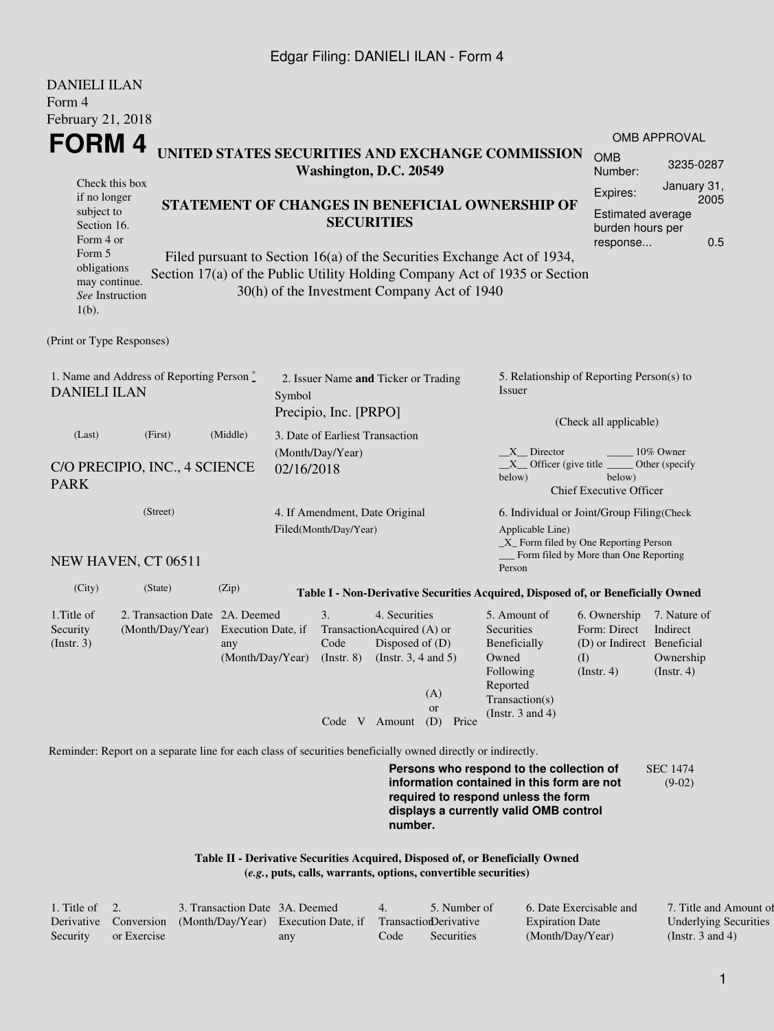#### Edgar Filing: DANIELI ILAN - Form 4

| <b>DANIELI ILAN</b><br>Form 4                                                                                                                     |                                                                                                             |                                                                                                                                                                                                          |                                                               |                                                                  |                                                          |                                                                                                                            |                                                                                                                                                                         |                                                                                       |                                                           |  |
|---------------------------------------------------------------------------------------------------------------------------------------------------|-------------------------------------------------------------------------------------------------------------|----------------------------------------------------------------------------------------------------------------------------------------------------------------------------------------------------------|---------------------------------------------------------------|------------------------------------------------------------------|----------------------------------------------------------|----------------------------------------------------------------------------------------------------------------------------|-------------------------------------------------------------------------------------------------------------------------------------------------------------------------|---------------------------------------------------------------------------------------|-----------------------------------------------------------|--|
| February 21, 2018                                                                                                                                 |                                                                                                             |                                                                                                                                                                                                          |                                                               |                                                                  |                                                          |                                                                                                                            |                                                                                                                                                                         |                                                                                       |                                                           |  |
| FORM 4                                                                                                                                            |                                                                                                             |                                                                                                                                                                                                          |                                                               |                                                                  |                                                          |                                                                                                                            |                                                                                                                                                                         |                                                                                       | <b>OMB APPROVAL</b>                                       |  |
|                                                                                                                                                   |                                                                                                             |                                                                                                                                                                                                          |                                                               | Washington, D.C. 20549                                           |                                                          |                                                                                                                            | UNITED STATES SECURITIES AND EXCHANGE COMMISSION                                                                                                                        | <b>OMB</b><br>Number:                                                                 | 3235-0287                                                 |  |
| Check this box<br>if no longer<br>subject to<br>Section 16.<br>Form 4 or<br>Form 5<br>obligations<br>may continue.<br>See Instruction<br>$1(b)$ . |                                                                                                             | STATEMENT OF CHANGES IN BENEFICIAL OWNERSHIP OF<br>Filed pursuant to Section 16(a) of the Securities Exchange Act of 1934,<br>Section 17(a) of the Public Utility Holding Company Act of 1935 or Section |                                                               | <b>SECURITIES</b><br>30(h) of the Investment Company Act of 1940 |                                                          | Expires:<br><b>Estimated average</b><br>burden hours per<br>response                                                       | January 31,<br>2005<br>0.5                                                                                                                                              |                                                                                       |                                                           |  |
| (Print or Type Responses)                                                                                                                         |                                                                                                             |                                                                                                                                                                                                          |                                                               |                                                                  |                                                          |                                                                                                                            |                                                                                                                                                                         |                                                                                       |                                                           |  |
| 1. Name and Address of Reporting Person*<br><b>DANIELI ILAN</b>                                                                                   |                                                                                                             | Symbol                                                                                                                                                                                                   | 2. Issuer Name and Ticker or Trading<br>Precipio, Inc. [PRPO] |                                                                  |                                                          | 5. Relationship of Reporting Person(s) to<br>Issuer                                                                        |                                                                                                                                                                         |                                                                                       |                                                           |  |
| (Last)                                                                                                                                            | (First)                                                                                                     | (Middle)<br>3. Date of Earliest Transaction                                                                                                                                                              |                                                               |                                                                  |                                                          |                                                                                                                            |                                                                                                                                                                         | (Check all applicable)                                                                |                                                           |  |
| C/O PRECIPIO, INC., 4 SCIENCE<br><b>PARK</b>                                                                                                      |                                                                                                             | 02/16/2018                                                                                                                                                                                               | (Month/Day/Year)                                              |                                                                  |                                                          | X Director<br>10% Owner<br>$X$ Officer (give title<br>Other (specify<br>below)<br>below)<br><b>Chief Executive Officer</b> |                                                                                                                                                                         |                                                                                       |                                                           |  |
| (Street)<br>NEW HAVEN, CT 06511                                                                                                                   |                                                                                                             |                                                                                                                                                                                                          |                                                               | 4. If Amendment, Date Original<br>Filed(Month/Day/Year)          |                                                          |                                                                                                                            | 6. Individual or Joint/Group Filing(Check<br>Applicable Line)<br>$\_X$ Form filed by One Reporting Person<br>Form filed by More than One Reporting                      |                                                                                       |                                                           |  |
|                                                                                                                                                   |                                                                                                             |                                                                                                                                                                                                          |                                                               |                                                                  |                                                          |                                                                                                                            | Person                                                                                                                                                                  |                                                                                       |                                                           |  |
| (City)                                                                                                                                            | (State)                                                                                                     | (Zip)                                                                                                                                                                                                    |                                                               |                                                                  |                                                          |                                                                                                                            | Table I - Non-Derivative Securities Acquired, Disposed of, or Beneficially Owned                                                                                        |                                                                                       |                                                           |  |
| 1. Title of<br>Security<br>$($ Instr. 3 $)$                                                                                                       | 2. Transaction Date 2A. Deemed<br>(Month/Day/Year)                                                          | Execution Date, if<br>any<br>(Month/Day/Year)                                                                                                                                                            |                                                               | 3.<br>TransactionAcquired (A) or<br>Code<br>$($ Instr. $8)$      | 4. Securities<br>Disposed of (D)<br>(Insert. 3, 4 and 5) | (A)<br><b>or</b>                                                                                                           | 5. Amount of<br>Securities<br>Beneficially<br>Owned<br>Following<br>Reported<br>Transaction(s)<br>(Instr. $3$ and $4$ )                                                 | 6. Ownership<br>Form: Direct<br>(D) or Indirect Beneficial<br>(I)<br>$($ Instr. 4 $)$ | 7. Nature of<br>Indirect<br>Ownership<br>$($ Instr. 4 $)$ |  |
|                                                                                                                                                   |                                                                                                             |                                                                                                                                                                                                          |                                                               | Code V Amount                                                    |                                                          | (D)<br>Price                                                                                                               |                                                                                                                                                                         |                                                                                       |                                                           |  |
|                                                                                                                                                   | Reminder: Report on a separate line for each class of securities beneficially owned directly or indirectly. |                                                                                                                                                                                                          |                                                               |                                                                  |                                                          |                                                                                                                            | Persons who respond to the collection of<br>information contained in this form are not<br>required to respond unless the form<br>displays a currently valid OMB control |                                                                                       | <b>SEC 1474</b><br>$(9-02)$                               |  |

**Table II - Derivative Securities Acquired, Disposed of, or Beneficially Owned (***e.g.***, puts, calls, warrants, options, convertible securities)**

| 1. Title of $\quad 2.$ |             | 3. Transaction Date 3A. Deemed                                                   |     | $\overline{4}$ | 5. Number of | 6. Date Exercisable and | 7. Title and Amount of       |
|------------------------|-------------|----------------------------------------------------------------------------------|-----|----------------|--------------|-------------------------|------------------------------|
|                        |             | Derivative Conversion (Month/Day/Year) Execution Date, if Transaction Derivative |     |                |              | <b>Expiration Date</b>  | <b>Underlying Securities</b> |
| Security               | or Exercise |                                                                                  | any | Code           | Securities   | (Month/Day/Year)        | (Instr. 3 and 4)             |

**number.**